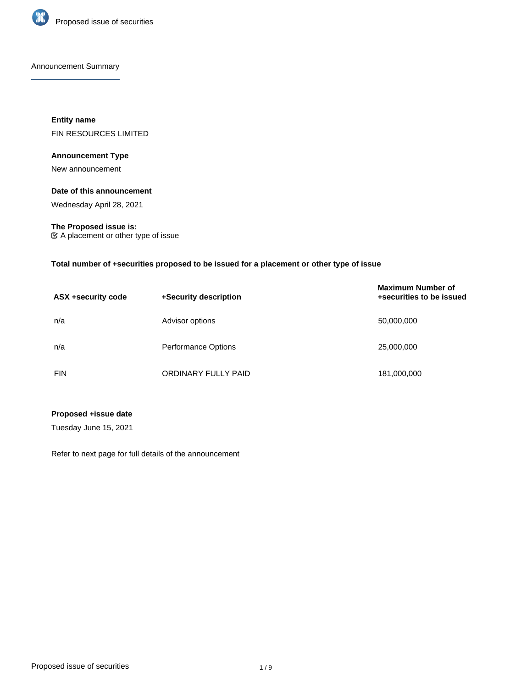

Announcement Summary

**Entity name** FIN RESOURCES LIMITED

# **Announcement Type**

New announcement

# **Date of this announcement**

Wednesday April 28, 2021

## **The Proposed issue is:**

A placement or other type of issue

## **Total number of +securities proposed to be issued for a placement or other type of issue**

| ASX +security code | +Security description      | <b>Maximum Number of</b><br>+securities to be issued |
|--------------------|----------------------------|------------------------------------------------------|
| n/a                | Advisor options            | 50,000,000                                           |
| n/a                | <b>Performance Options</b> | 25,000,000                                           |
| <b>FIN</b>         | ORDINARY FULLY PAID        | 181,000,000                                          |

# **Proposed +issue date**

Tuesday June 15, 2021

Refer to next page for full details of the announcement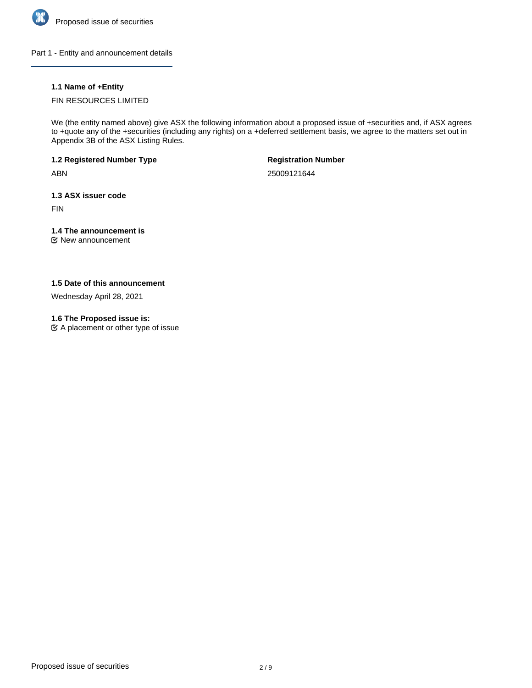

Part 1 - Entity and announcement details

# **1.1 Name of +Entity**

# FIN RESOURCES LIMITED

We (the entity named above) give ASX the following information about a proposed issue of +securities and, if ASX agrees to +quote any of the +securities (including any rights) on a +deferred settlement basis, we agree to the matters set out in Appendix 3B of the ASX Listing Rules.

**1.2 Registered Number Type**

ABN

**Registration Number**

25009121644

**1.3 ASX issuer code**

FIN

# **1.4 The announcement is**

New announcement

# **1.5 Date of this announcement**

Wednesday April 28, 2021

# **1.6 The Proposed issue is:**

 $\mathfrak{C}$  A placement or other type of issue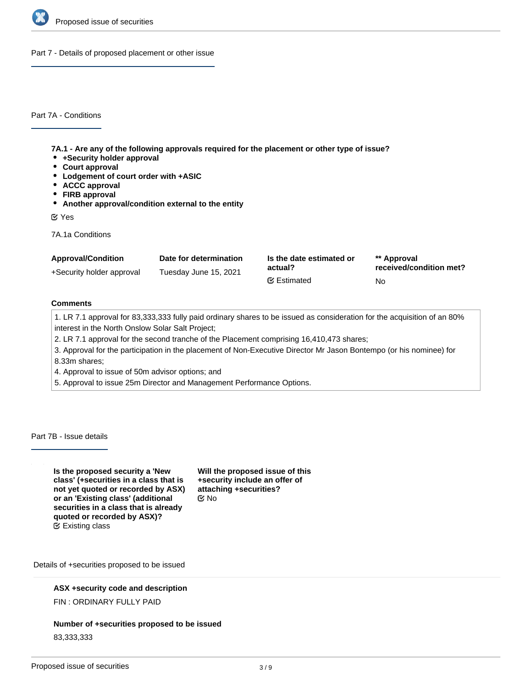

Part 7 - Details of proposed placement or other issue

Part 7A - Conditions

**7A.1 - Are any of the following approvals required for the placement or other type of issue?**

- **+Security holder approval**
- **Court approval**
- **Lodgement of court order with +ASIC**
- **ACCC approval**
- **FIRB approval**
- **Another approval/condition external to the entity**

Yes

7A.1a Conditions

| <b>Approval/Condition</b> | Date for determination | Is the date estimated or | ** Approval             |
|---------------------------|------------------------|--------------------------|-------------------------|
| +Security holder approval | Tuesday June 15, 2021  | actual?                  | received/condition met? |
|                           |                        | <b></b> ■ Estimated      | No.                     |

# **Comments**

1. LR 7.1 approval for 83,333,333 fully paid ordinary shares to be issued as consideration for the acquisition of an 80% interest in the North Onslow Solar Salt Project;

2. LR 7.1 approval for the second tranche of the Placement comprising 16,410,473 shares;

3. Approval for the participation in the placement of Non-Executive Director Mr Jason Bontempo (or his nominee) for

8.33m shares;

- 4. Approval to issue of 50m advisor options; and
- 5. Approval to issue 25m Director and Management Performance Options.

Part 7B - Issue details

**Is the proposed security a 'New class' (+securities in a class that is not yet quoted or recorded by ASX) or an 'Existing class' (additional securities in a class that is already quoted or recorded by ASX)?** Existing class

**Will the proposed issue of this +security include an offer of attaching +securities?** No

Details of +securities proposed to be issued

## **ASX +security code and description**

FIN : ORDINARY FULLY PAID

## **Number of +securities proposed to be issued**

83,333,333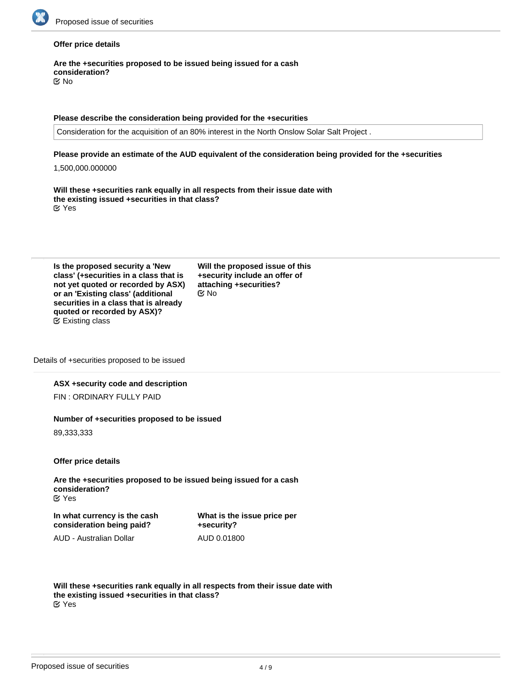

## **Offer price details**

**Are the +securities proposed to be issued being issued for a cash consideration?** No

#### **Please describe the consideration being provided for the +securities**

Consideration for the acquisition of an 80% interest in the North Onslow Solar Salt Project .

#### **Please provide an estimate of the AUD equivalent of the consideration being provided for the +securities**

1,500,000.000000

**Will these +securities rank equally in all respects from their issue date with the existing issued +securities in that class?** Yes

| Is the proposed security a 'New        |  |
|----------------------------------------|--|
| class' (+securities in a class that is |  |
| not yet quoted or recorded by ASX)     |  |
| or an 'Existing class' (additional     |  |
| securities in a class that is already  |  |
| quoted or recorded by ASX)?            |  |
| $\mathfrak{C}$ Existing class          |  |

**Will the proposed issue of this +security include an offer of attaching +securities?** No

Details of +securities proposed to be issued

# **ASX +security code and description**

FIN : ORDINARY FULLY PAID

# **Number of +securities proposed to be issued**

89,333,333

**Offer price details**

**Are the +securities proposed to be issued being issued for a cash consideration?** Yes

**In what currency is the cash consideration being paid?**

AUD - Australian Dollar

**What is the issue price per +security?** AUD 0.01800

**Will these +securities rank equally in all respects from their issue date with the existing issued +securities in that class?**

Yes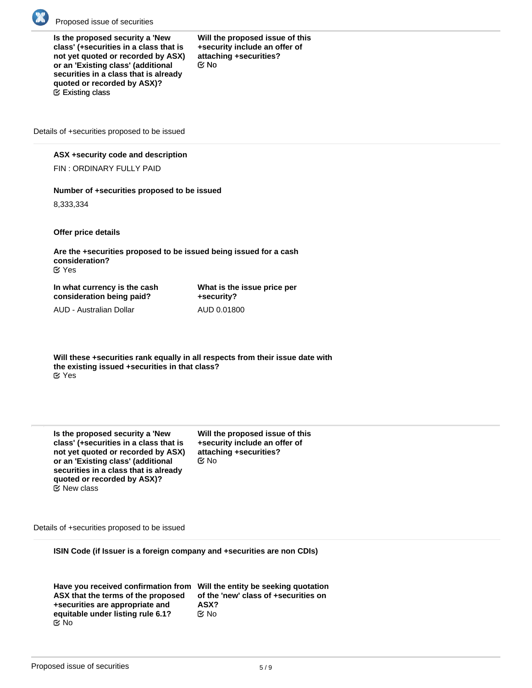

**Is the proposed security a 'New class' (+securities in a class that is not yet quoted or recorded by ASX) or an 'Existing class' (additional securities in a class that is already quoted or recorded by ASX)?** Existing class

**Will the proposed issue of this +security include an offer of attaching +securities?** No

Details of +securities proposed to be issued

### **ASX +security code and description**

FIN : ORDINARY FULLY PAID

## **Number of +securities proposed to be issued**

8,333,334

**Offer price details**

**Are the +securities proposed to be issued being issued for a cash consideration?** Yes

**In what currency is the cash consideration being paid?**

AUD - Australian Dollar

**What is the issue price per +security?** AUD 0.01800

**Will these +securities rank equally in all respects from their issue date with the existing issued +securities in that class?** Yes

| Is the proposed security a 'New        |
|----------------------------------------|
| class' (+securities in a class that is |
| not yet quoted or recorded by ASX)     |
| or an 'Existing class' (additional     |
| securities in a class that is already  |
| quoted or recorded by ASX)?            |
| $\mathfrak{C}$ New class               |

**Will the proposed issue of this +security include an offer of attaching +securities?** No

Details of +securities proposed to be issued

**ISIN Code (if Issuer is a foreign company and +securities are non CDIs)**

| Have you received confirmation from | N |
|-------------------------------------|---|
| ASX that the terms of the proposed  |   |
| +securities are appropriate and     |   |
| equitable under listing rule 6.1?   |   |
| ඦ No                                |   |

**Will the entity be seeking quotation of the 'new' class of +securities on ASX?** ∑ No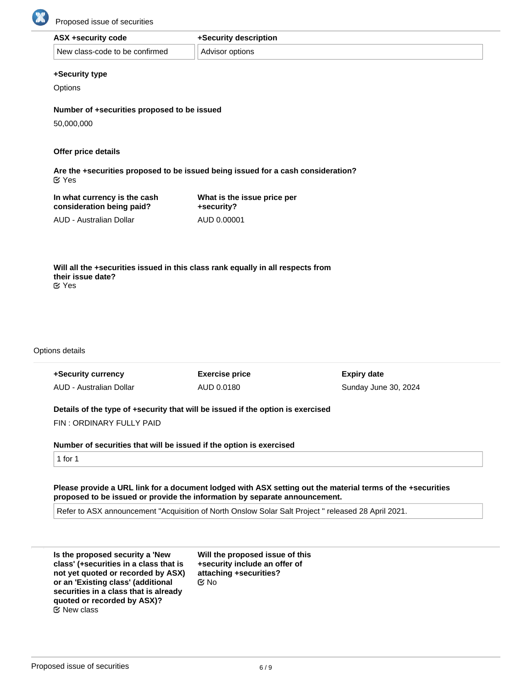

| ASX +security code             | +Security description |
|--------------------------------|-----------------------|
| New class-code to be confirmed | Advisor options       |

#### **+Security type**

**Options** 

**Number of +securities proposed to be issued**

50,000,000

## **Offer price details**

**Are the +securities proposed to be issued being issued for a cash consideration?** Yes

**consideration being paid?** AUD - Australian Dollar

**In what currency is the cash**

**What is the issue price per +security?** AUD 0.00001

**Will all the +securities issued in this class rank equally in all respects from their issue date?** Yes

Options details

| +Security currency                                                              | <b>Exercise price</b> | <b>Expiry date</b>   |
|---------------------------------------------------------------------------------|-----------------------|----------------------|
| AUD - Australian Dollar                                                         | AUD 0.0180            | Sunday June 30, 2024 |
| Details of the type of +security that will be issued if the option is exercised |                       |                      |

FIN : ORDINARY FULLY PAID

**Number of securities that will be issued if the option is exercised**

1 for 1

**Please provide a URL link for a document lodged with ASX setting out the material terms of the +securities proposed to be issued or provide the information by separate announcement.**

Refer to ASX announcement "Acquisition of North Onslow Solar Salt Project " released 28 April 2021.

**Is the proposed security a 'New class' (+securities in a class that is not yet quoted or recorded by ASX) or an 'Existing class' (additional securities in a class that is already quoted or recorded by ASX)?**  $\mathfrak E$  New class

**Will the proposed issue of this +security include an offer of attaching +securities?** No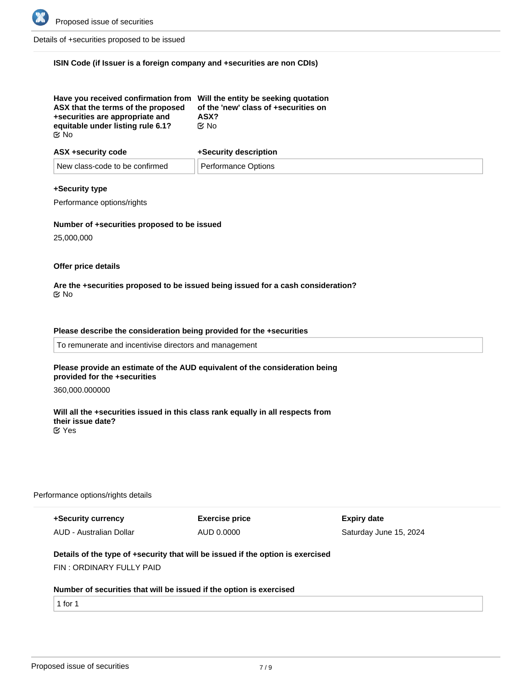

Details of +securities proposed to be issued

### **ISIN Code (if Issuer is a foreign company and +securities are non CDIs)**

| Have you received confirmation from Will the entity be seeking quotation<br>ASX that the terms of the proposed<br>+securities are appropriate and<br>equitable under listing rule 6.1?<br>ା ⊠ | of the 'new' class of +securities on<br>ASX?<br>C⁄No |
|-----------------------------------------------------------------------------------------------------------------------------------------------------------------------------------------------|------------------------------------------------------|
|                                                                                                                                                                                               |                                                      |

| ASX +security code             | +Security description |  |
|--------------------------------|-----------------------|--|
| New class-code to be confirmed | Performance Options   |  |

#### **+Security type**

Performance options/rights

#### **Number of +securities proposed to be issued**

25,000,000

#### **Offer price details**

#### **Are the +securities proposed to be issued being issued for a cash consideration?** No

### **Please describe the consideration being provided for the +securities**

To remunerate and incentivise directors and management

#### **Please provide an estimate of the AUD equivalent of the consideration being provided for the +securities**

360,000.000000

### **Will all the +securities issued in this class rank equally in all respects from their issue date?** Yes

#### Performance options/rights details

**+Security currency** AUD - Australian Dollar **Exercise price** AUD 0.0000

**Expiry date** Saturday June 15, 2024

## **Details of the type of +security that will be issued if the option is exercised**

FIN : ORDINARY FULLY PAID

#### **Number of securities that will be issued if the option is exercised**

1 for 1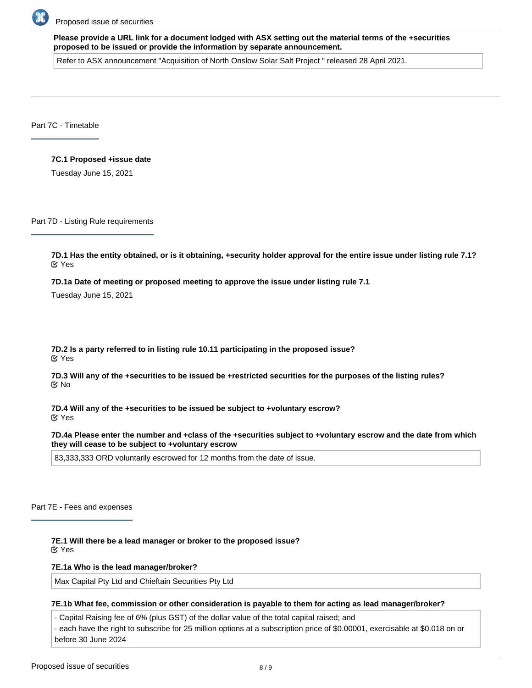

**Please provide a URL link for a document lodged with ASX setting out the material terms of the +securities proposed to be issued or provide the information by separate announcement.**

Refer to ASX announcement "Acquisition of North Onslow Solar Salt Project " released 28 April 2021.

Part 7C - Timetable

#### **7C.1 Proposed +issue date**

Tuesday June 15, 2021

Part 7D - Listing Rule requirements

**7D.1 Has the entity obtained, or is it obtaining, +security holder approval for the entire issue under listing rule 7.1?** Yes

**7D.1a Date of meeting or proposed meeting to approve the issue under listing rule 7.1**

Tuesday June 15, 2021

**7D.2 Is a party referred to in listing rule 10.11 participating in the proposed issue?** Yes

**7D.3 Will any of the +securities to be issued be +restricted securities for the purposes of the listing rules?** No

**7D.4 Will any of the +securities to be issued be subject to +voluntary escrow?** Yes

**7D.4a Please enter the number and +class of the +securities subject to +voluntary escrow and the date from which they will cease to be subject to +voluntary escrow**

83,333,333 ORD voluntarily escrowed for 12 months from the date of issue.

Part 7E - Fees and expenses

**7E.1 Will there be a lead manager or broker to the proposed issue?** Yes

**7E.1a Who is the lead manager/broker?**

Max Capital Pty Ltd and Chieftain Securities Pty Ltd

**7E.1b What fee, commission or other consideration is payable to them for acting as lead manager/broker?**

- Capital Raising fee of 6% (plus GST) of the dollar value of the total capital raised; and

- each have the right to subscribe for 25 million options at a subscription price of \$0.00001, exercisable at \$0.018 on or before 30 June 2024